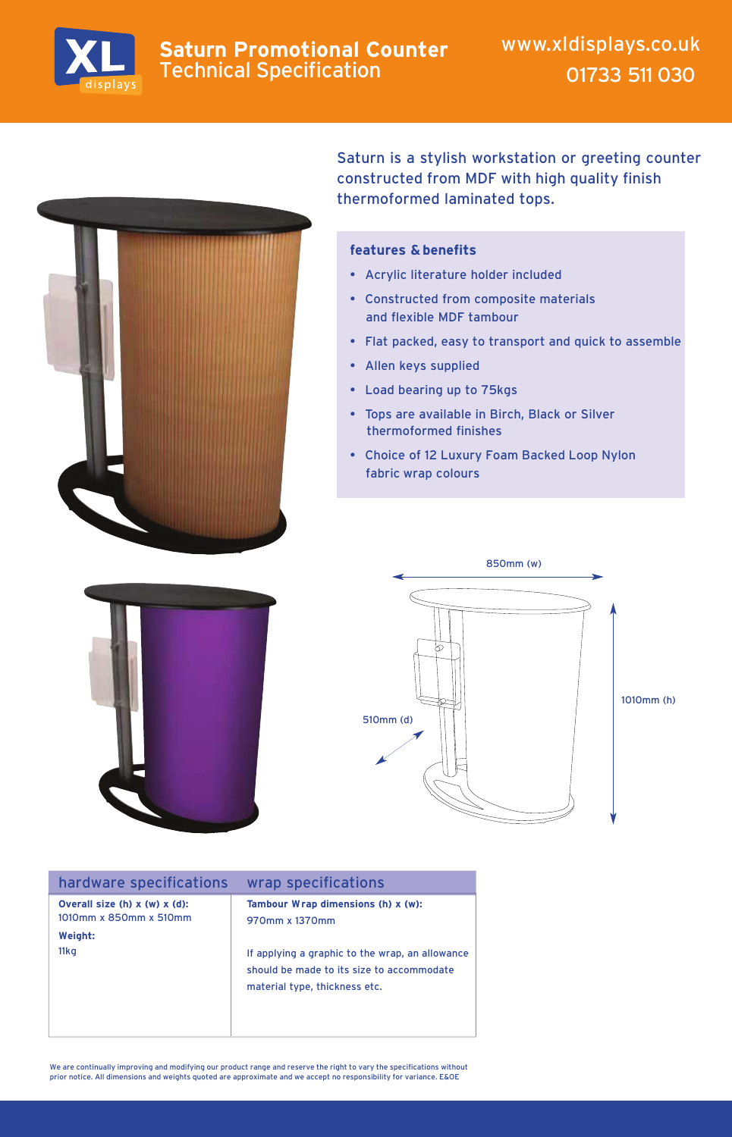

### **Saturn Promotional Counter** Technical Specification



Saturn is a stylish workstation or greeting counter constructed from MDF with high quality finish thermoformed laminated tops.

#### **features & benefits**

- Acrylic literature holder included
- Constructed from composite materials and flexible MDF tambour
- Flat packed, easy to transport and quick to assemble
- Allen keys supplied
- Load bearing up to 75kgs
- Tops are available in Birch, Black or Silver thermoformed finishes
- Choice of 12 Luxury Foam Backed Loop Nylon fabric wrap colours





| hardware specifications                                    | wrap specifications                                                                                                           |
|------------------------------------------------------------|-------------------------------------------------------------------------------------------------------------------------------|
| Overall size (h) $x(w)$ $x$ (d):<br>1010mm x 850mm x 510mm | Tambour Wrap dimensions (h) x (w):<br>970mm x 1370mm                                                                          |
| Weight:<br>11kg                                            | If applying a graphic to the wrap, an allowance<br>should be made to its size to accommodate<br>material type, thickness etc. |
|                                                            |                                                                                                                               |

We are continually improving and modifying our product range and reserve the right to vary the specifications without<br>prior notice. All dimensions and weights quoted are approximate and we accept no responsibility for vari